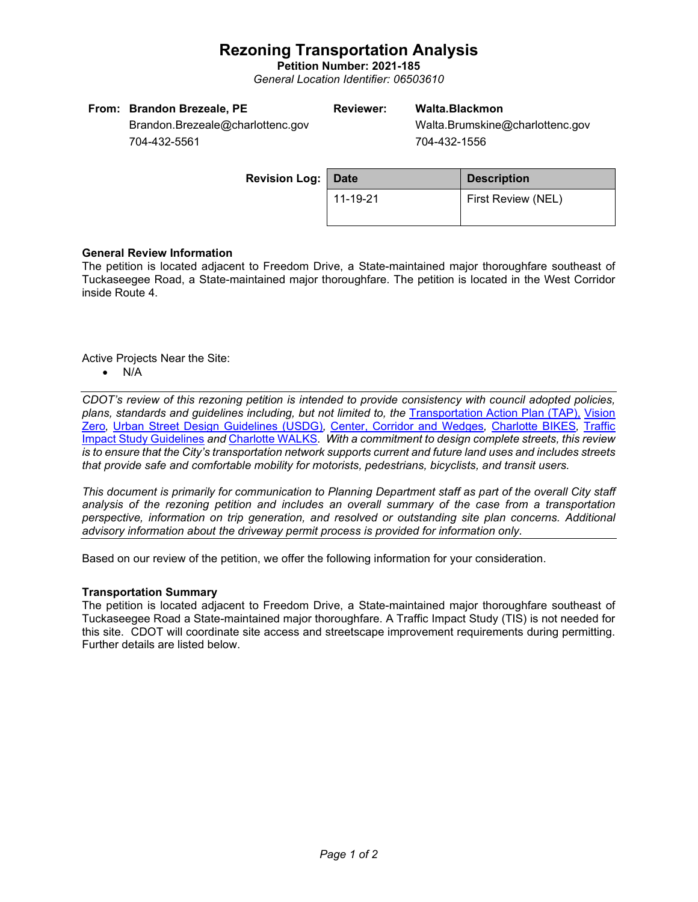## **Rezoning Transportation Analysis**

**Petition Number: 2021-185** *General Location Identifier: 06503610*

| From: Brandon Brezeale, PE       | Reviewer: | Walta.Blackmon                                                                                                                                                                                                                                                                                                                                                                                                                     |
|----------------------------------|-----------|------------------------------------------------------------------------------------------------------------------------------------------------------------------------------------------------------------------------------------------------------------------------------------------------------------------------------------------------------------------------------------------------------------------------------------|
| Brandon.Brezeale@charlottenc.gov |           | Walta.Brumskine@charlottenc.gov                                                                                                                                                                                                                                                                                                                                                                                                    |
| $701, 100$ $5501$                |           | $\begin{array}{cccc}\n\mathbf{1} & \mathbf{1} & \mathbf{1} & \mathbf{1} & \mathbf{1} & \mathbf{1} & \mathbf{1} & \mathbf{1} & \mathbf{1} & \mathbf{1} & \mathbf{1} & \mathbf{1} & \mathbf{1} & \mathbf{1} & \mathbf{1} & \mathbf{1} & \mathbf{1} & \mathbf{1} & \mathbf{1} & \mathbf{1} & \mathbf{1} & \mathbf{1} & \mathbf{1} & \mathbf{1} & \mathbf{1} & \mathbf{1} & \mathbf{1} & \mathbf{1} & \mathbf{1} & \mathbf{1} & \math$ |

704-432-5561

704-432-1556

| <b>Revision Log:   Date</b> |          | <b>Description</b> |  |
|-----------------------------|----------|--------------------|--|
|                             | 11-19-21 | First Review (NEL) |  |

## **General Review Information**

The petition is located adjacent to Freedom Drive, a State-maintained major thoroughfare southeast of Tuckaseegee Road, a State-maintained major thoroughfare. The petition is located in the West Corridor inside Route 4.

Active Projects Near the Site:

• N/A

*CDOT's review of this rezoning petition is intended to provide consistency with council adopted policies, plans, standards and guidelines including, but not limited to, the* [Transportation Action Plan \(TAP\),](https://charlottenc.gov/Transportation/Programs/Pages/TransportationActionPlan.aspx) [Vision](https://charlottenc.gov/VisionZero/Pages/VisionZero.aspx)  [Zero](https://charlottenc.gov/VisionZero/Pages/VisionZero.aspx)*,* [Urban Street Design Guidelines \(USDG\)](https://charlottenc.gov/Transportation/PlansProjects/Documents/USDG%20Full%20Document.pdf)*,* [Center, Corridor and](http://ww.charmeck.org/Planning/Land%20Use%20Planning/CentersCorridorsWedges/CentersCorridorsWedges(Adopted).pdf) Wedges*,* [Charlotte BIKES](https://charlottenc.gov/Transportation/Programs/Pages/Bicycle.aspx)*,* [Traffic](https://charlottenc.gov/Transportation/Permits/Documents/TISProcessandGuildlines.pdf)  [Impact Study Guidelines](https://charlottenc.gov/Transportation/Permits/Documents/TISProcessandGuildlines.pdf) *and* [Charlotte WALKS](https://charlottenc.gov/Transportation/Programs/Pages/CharlotteWalks.aspx)*. With a commitment to design complete streets, this review is to ensure that the City's transportation network supports current and future land uses and includes streets that provide safe and comfortable mobility for motorists, pedestrians, bicyclists, and transit users.*

*This document is primarily for communication to Planning Department staff as part of the overall City staff analysis of the rezoning petition and includes an overall summary of the case from a transportation perspective, information on trip generation, and resolved or outstanding site plan concerns. Additional advisory information about the driveway permit process is provided for information only.*

Based on our review of the petition, we offer the following information for your consideration.

### **Transportation Summary**

The petition is located adjacent to Freedom Drive, a State-maintained major thoroughfare southeast of Tuckaseegee Road a State-maintained major thoroughfare. A Traffic Impact Study (TIS) is not needed for this site. CDOT will coordinate site access and streetscape improvement requirements during permitting. Further details are listed below.